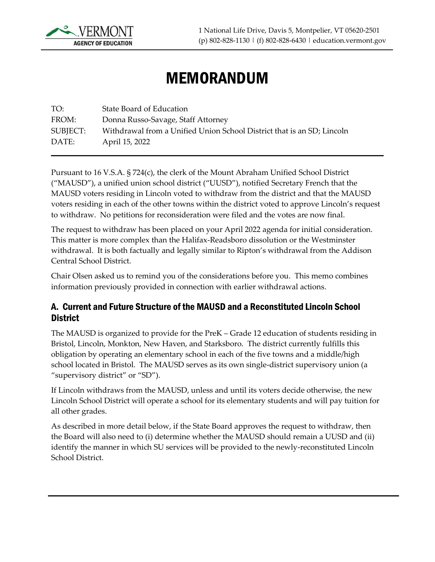

# MEMORANDUM

TO: State Board of Education FROM: Donna Russo-Savage, Staff Attorney SUBJECT: Withdrawal from a Unified Union School District that is an SD; Lincoln DATE: April 15, 2022

Pursuant to 16 V.S.A. § 724(c), the clerk of the Mount Abraham Unified School District ("MAUSD"), a unified union school district ("UUSD"), notified Secretary French that the MAUSD voters residing in Lincoln voted to withdraw from the district and that the MAUSD voters residing in each of the other towns within the district voted to approve Lincoln's request to withdraw. No petitions for reconsideration were filed and the votes are now final.

The request to withdraw has been placed on your April 2022 agenda for initial consideration. This matter is more complex than the Halifax-Readsboro dissolution or the Westminster withdrawal. It is both factually and legally similar to Ripton's withdrawal from the Addison Central School District.

Chair Olsen asked us to remind you of the considerations before you. This memo combines information previously provided in connection with earlier withdrawal actions.

#### A. Current and Future Structure of the MAUSD and a Reconstituted Lincoln School **District**

The MAUSD is organized to provide for the PreK – Grade 12 education of students residing in Bristol, Lincoln, Monkton, New Haven, and Starksboro. The district currently fulfills this obligation by operating an elementary school in each of the five towns and a middle/high school located in Bristol. The MAUSD serves as its own single-district supervisory union (a "supervisory district" or "SD").

If Lincoln withdraws from the MAUSD, unless and until its voters decide otherwise, the new Lincoln School District will operate a school for its elementary students and will pay tuition for all other grades.

As described in more detail below, if the State Board approves the request to withdraw, then the Board will also need to (i) determine whether the MAUSD should remain a UUSD and (ii) identify the manner in which SU services will be provided to the newly-reconstituted Lincoln School District.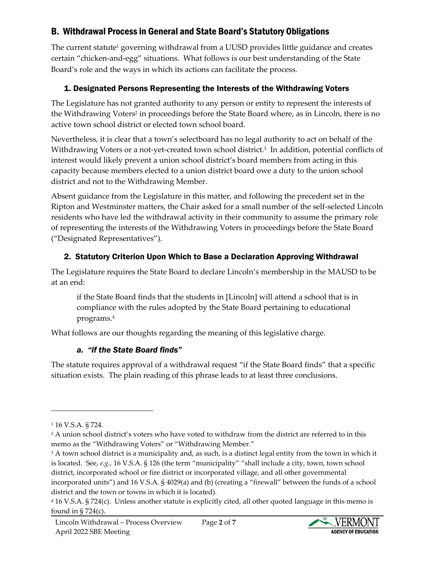## B. Withdrawal Process in General and State Board's Statutory Obligations

The current statute<sup>1</sup> governing withdrawal from a UUSD provides little guidance and creates certain "chicken-and-egg" situations. What follows is our best understanding of the State Board's role and the ways in which its actions can facilitate the process.

## 1. Designated Persons Representing the Interests of the Withdrawing Voters

The Legislature has not granted authority to any person or entity to represent the interests of the Withdrawing Voters<sup>2</sup> in proceedings before the State Board where, as in Lincoln, there is no active town school district or elected town school board.

Nevertheless, it is clear that a town's selectboard has no legal authority to act on behalf of the Withdrawing Voters or a not-yet-created town school district. 3 In addition, potential conflicts of interest would likely prevent a union school district's board members from acting in this capacity because members elected to a union district board owe a duty to the union school district and not to the Withdrawing Member.

Absent guidance from the Legislature in this matter, and following the precedent set in the Ripton and Westminster matters, the Chair asked for a small number of the self-selected Lincoln residents who have led the withdrawal activity in their community to assume the primary role of representing the interests of the Withdrawing Voters in proceedings before the State Board ("Designated Representatives").

#### 2. Statutory Criterion Upon Which to Base a Declaration Approving Withdrawal

The Legislature requires the State Board to declare Lincoln's membership in the MAUSD to be at an end:

if the State Board finds that the students in [Lincoln] will attend a school that is in compliance with the rules adopted by the State Board pertaining to educational programs.<sup>4</sup>

What follows are our thoughts regarding the meaning of this legislative charge.

#### *a. "if the State Board finds"*

The statute requires approval of a withdrawal request "if the State Board finds" that a specific situation exists. The plain reading of this phrase leads to at least three conclusions.



<sup>1</sup> 16 V.S.A. § 724.

<sup>2</sup> A union school district's voters who have voted to withdraw from the district are referred to in this memo as the "Withdrawing Voters" or "Withdrawing Member."

<sup>&</sup>lt;sup>3</sup> A town school district is a municipality and, as such, is a distinct legal entity from the town in which it is located. See, *e.g.*, 16 V.S.A. § 126 (the term "municipality" "shall include a city, town, town school district, incorporated school or fire district or incorporated village, and all other governmental incorporated units") and 16 V.S.A. § 4029(a) and (b) (creating a "firewall" between the funds of a school district and the town or towns in which it is located).

<sup>4</sup> 16 V.S.A. § 724(c). Unless another statute is explicitly cited, all other quoted language in this memo is found in  $\S 724(c)$ .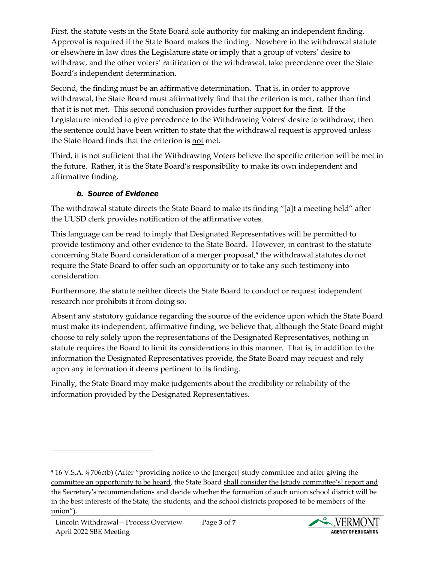First, the statute vests in the State Board sole authority for making an independent finding. Approval is required if the State Board makes the finding. Nowhere in the withdrawal statute or elsewhere in law does the Legislature state or imply that a group of voters' desire to withdraw, and the other voters' ratification of the withdrawal, take precedence over the State Board's independent determination.

Second, the finding must be an affirmative determination. That is, in order to approve withdrawal, the State Board must affirmatively find that the criterion is met, rather than find that it is not met. This second conclusion provides further support for the first. If the Legislature intended to give precedence to the Withdrawing Voters' desire to withdraw, then the sentence could have been written to state that the withdrawal request is approved *unless* the State Board finds that the criterion is not met.

Third, it is not sufficient that the Withdrawing Voters believe the specific criterion will be met in the future. Rather, it is the State Board's responsibility to make its own independent and affirmative finding.

#### *b. Source of Evidence*

The withdrawal statute directs the State Board to make its finding "[a]t a meeting held" after the UUSD clerk provides notification of the affirmative votes.

This language can be read to imply that Designated Representatives will be permitted to provide testimony and other evidence to the State Board. However, in contrast to the statute concerning State Board consideration of a merger proposal, 5 the withdrawal statutes do not require the State Board to offer such an opportunity or to take any such testimony into consideration.

Furthermore, the statute neither directs the State Board to conduct or request independent research nor prohibits it from doing so.

Absent any statutory guidance regarding the source of the evidence upon which the State Board must make its independent, affirmative finding, we believe that, although the State Board might choose to rely solely upon the representations of the Designated Representatives, nothing in statute requires the Board to limit its considerations in this manner. That is, in addition to the information the Designated Representatives provide, the State Board may request and rely upon any information it deems pertinent to its finding.

Finally, the State Board may make judgements about the credibility or reliability of the information provided by the Designated Representatives.



<sup>5</sup> 16 V.S.A. § 706c(b) (After "providing notice to the [merger] study committee and after giving the committee an opportunity to be heard, the State Board shall consider the [study committee's] report and the Secretary's recommendations and decide whether the formation of such union school district will be in the best interests of the State, the students, and the school districts proposed to be members of the union").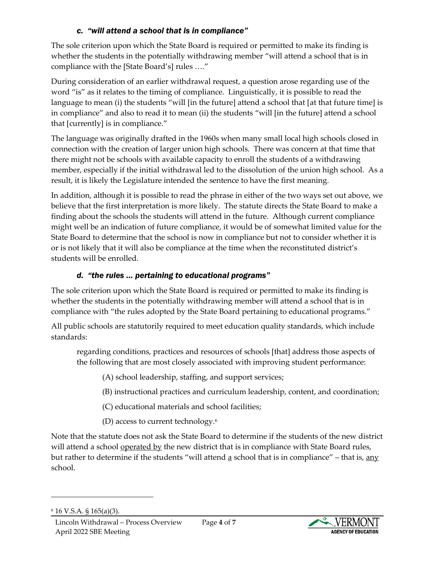#### *c. "will attend a school that is in compliance"*

The sole criterion upon which the State Board is required or permitted to make its finding is whether the students in the potentially withdrawing member "will attend a school that is in compliance with the [State Board's] rules …."

During consideration of an earlier withdrawal request, a question arose regarding use of the word "is" as it relates to the timing of compliance. Linguistically, it is possible to read the language to mean (i) the students "will [in the future] attend a school that [at that future time] is in compliance" and also to read it to mean (ii) the students "will [in the future] attend a school that [currently] is in compliance."

The language was originally drafted in the 1960s when many small local high schools closed in connection with the creation of larger union high schools. There was concern at that time that there might not be schools with available capacity to enroll the students of a withdrawing member, especially if the initial withdrawal led to the dissolution of the union high school. As a result, it is likely the Legislature intended the sentence to have the first meaning.

In addition, although it is possible to read the phrase in either of the two ways set out above, we believe that the first interpretation is more likely. The statute directs the State Board to make a finding about the schools the students will attend in the future. Although current compliance might well be an indication of future compliance, it would be of somewhat limited value for the State Board to determine that the school is now in compliance but not to consider whether it is or is not likely that it will also be compliance at the time when the reconstituted district's students will be enrolled.

### *d. "the rules … pertaining to educational programs"*

The sole criterion upon which the State Board is required or permitted to make its finding is whether the students in the potentially withdrawing member will attend a school that is in compliance with "the rules adopted by the State Board pertaining to educational programs."

All public schools are statutorily required to meet education quality standards, which include standards:

regarding conditions, practices and resources of schools [that] address those aspects of the following that are most closely associated with improving student performance:

(A) school leadership, staffing, and support services;

(B) instructional practices and curriculum leadership, content, and coordination;

(C) educational materials and school facilities;

(D) access to current technology.<sup>6</sup>

Note that the statute does not ask the State Board to determine if the students of the new district will attend a school operated by the new district that is in compliance with State Board rules, but rather to determine if the students "will attend  $\underline{a}$  school that is in compliance" – that is,  $\underline{any}$ school.



<sup>6</sup> 16 V.S.A. § 165(a)(3).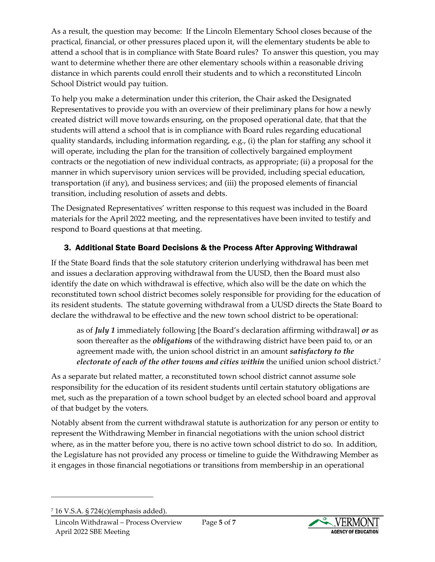As a result, the question may become: If the Lincoln Elementary School closes because of the practical, financial, or other pressures placed upon it, will the elementary students be able to attend a school that is in compliance with State Board rules? To answer this question, you may want to determine whether there are other elementary schools within a reasonable driving distance in which parents could enroll their students and to which a reconstituted Lincoln School District would pay tuition.

To help you make a determination under this criterion, the Chair asked the Designated Representatives to provide you with an overview of their preliminary plans for how a newly created district will move towards ensuring, on the proposed operational date, that that the students will attend a school that is in compliance with Board rules regarding educational quality standards, including information regarding, e.g., (i) the plan for staffing any school it will operate, including the plan for the transition of collectively bargained employment contracts or the negotiation of new individual contracts, as appropriate; (ii) a proposal for the manner in which supervisory union services will be provided, including special education, transportation (if any), and business services; and (iii) the proposed elements of financial transition, including resolution of assets and debts.

The Designated Representatives' written response to this request was included in the Board materials for the April 2022 meeting, and the representatives have been invited to testify and respond to Board questions at that meeting.

## 3. Additional State Board Decisions & the Process After Approving Withdrawal

If the State Board finds that the sole statutory criterion underlying withdrawal has been met and issues a declaration approving withdrawal from the UUSD, then the Board must also identify the date on which withdrawal is effective, which also will be the date on which the reconstituted town school district becomes solely responsible for providing for the education of its resident students. The statute governing withdrawal from a UUSD directs the State Board to declare the withdrawal to be effective and the new town school district to be operational:

as of *July 1* immediately following [the Board's declaration affirming withdrawal] *or* as soon thereafter as the *obligations* of the withdrawing district have been paid to, or an agreement made with, the union school district in an amount *satisfactory to the electorate of each of the other towns and cities within* the unified union school district.<sup>7</sup>

As a separate but related matter, a reconstituted town school district cannot assume sole responsibility for the education of its resident students until certain statutory obligations are met, such as the preparation of a town school budget by an elected school board and approval of that budget by the voters.

Notably absent from the current withdrawal statute is authorization for any person or entity to represent the Withdrawing Member in financial negotiations with the union school district where, as in the matter before you, there is no active town school district to do so. In addition, the Legislature has not provided any process or timeline to guide the Withdrawing Member as it engages in those financial negotiations or transitions from membership in an operational



<sup>7</sup> 16 V.S.A. § 724(c)(emphasis added).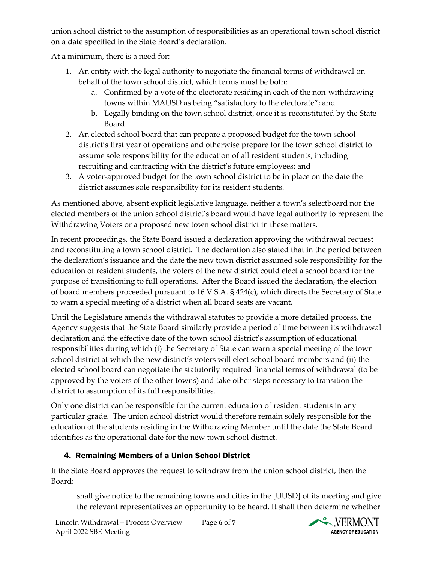union school district to the assumption of responsibilities as an operational town school district on a date specified in the State Board's declaration.

At a minimum, there is a need for:

- 1. An entity with the legal authority to negotiate the financial terms of withdrawal on behalf of the town school district, which terms must be both:
	- a. Confirmed by a vote of the electorate residing in each of the non-withdrawing towns within MAUSD as being "satisfactory to the electorate"; and
	- b. Legally binding on the town school district, once it is reconstituted by the State Board.
- 2. An elected school board that can prepare a proposed budget for the town school district's first year of operations and otherwise prepare for the town school district to assume sole responsibility for the education of all resident students, including recruiting and contracting with the district's future employees; and
- 3. A voter-approved budget for the town school district to be in place on the date the district assumes sole responsibility for its resident students.

As mentioned above, absent explicit legislative language, neither a town's selectboard nor the elected members of the union school district's board would have legal authority to represent the Withdrawing Voters or a proposed new town school district in these matters.

In recent proceedings, the State Board issued a declaration approving the withdrawal request and reconstituting a town school district. The declaration also stated that in the period between the declaration's issuance and the date the new town district assumed sole responsibility for the education of resident students, the voters of the new district could elect a school board for the purpose of transitioning to full operations. After the Board issued the declaration, the election of board members proceeded pursuant to 16 V.S.A. § 424(c), which directs the Secretary of State to warn a special meeting of a district when all board seats are vacant.

Until the Legislature amends the withdrawal statutes to provide a more detailed process, the Agency suggests that the State Board similarly provide a period of time between its withdrawal declaration and the effective date of the town school district's assumption of educational responsibilities during which (i) the Secretary of State can warn a special meeting of the town school district at which the new district's voters will elect school board members and (ii) the elected school board can negotiate the statutorily required financial terms of withdrawal (to be approved by the voters of the other towns) and take other steps necessary to transition the district to assumption of its full responsibilities.

Only one district can be responsible for the current education of resident students in any particular grade. The union school district would therefore remain solely responsible for the education of the students residing in the Withdrawing Member until the date the State Board identifies as the operational date for the new town school district.

## 4. Remaining Members of a Union School District

If the State Board approves the request to withdraw from the union school district, then the Board:

shall give notice to the remaining towns and cities in the [UUSD] of its meeting and give the relevant representatives an opportunity to be heard. It shall then determine whether